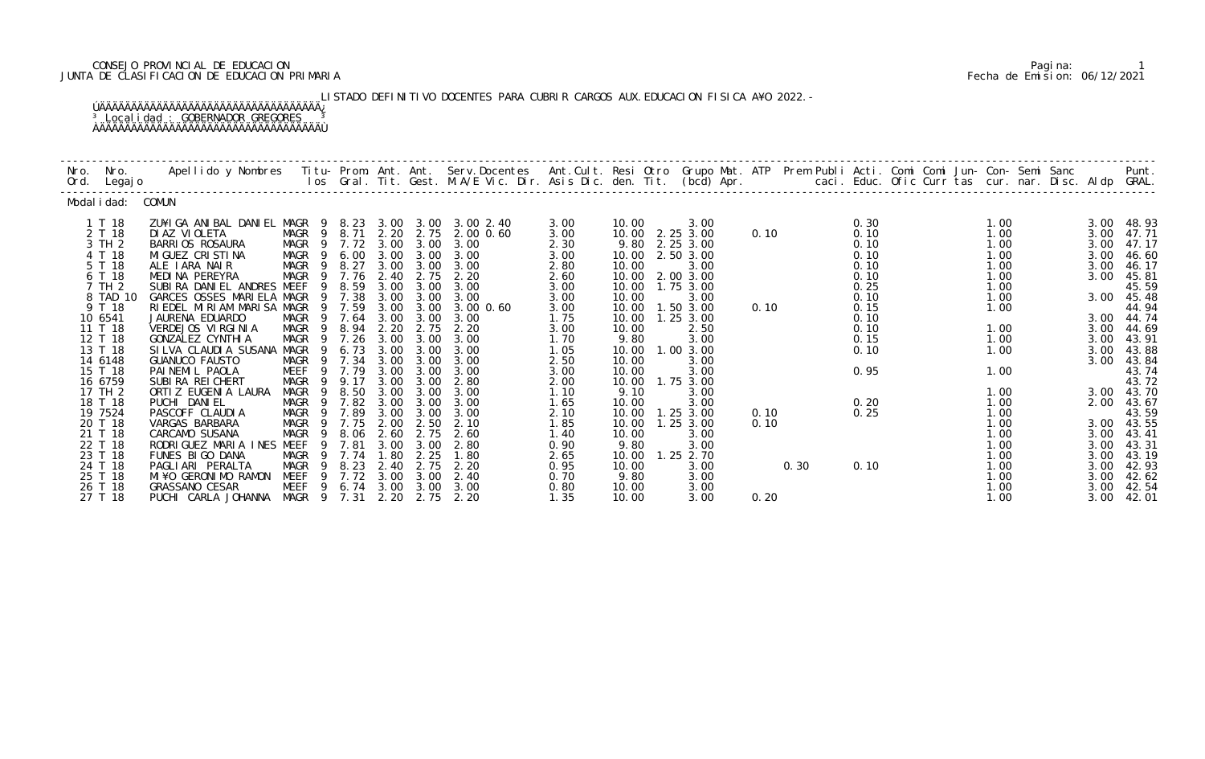## CONSEJO PROVINCIAL DE EDUCACION Pagina: 1 JUNTA DE CLASIFICACION DE EDUCACION PRIMARIA Fecha de Emision: 06/12/2021

 LISTADO DEFINITIVO DOCENTES PARA CUBRIR CARGOS AUX.EDUCACION FISICA A¥O 2022.- ÚÄÄÄÄÄÄÄÄÄÄÄÄÄÄÄÄÄÄÄÄÄÄÄÄÄÄÄÄÄÄÄÄÄÄÄ¿ <sup>3</sup> Localidad : GOBERNADOR GREGORES <sup>3</sup> ÀÄÄÄÄÄÄÄÄÄÄÄÄÄÄÄÄÄÄÄÄÄÄÄÄÄÄÄÄÄÄÄÄÄÄÄÙ

| Nro.<br>Ord. | Nro.<br>Legaj o    | Apellido y Nombres - Titu- Prom. Ant. Ant. Serv.Docentes - Ant.Cult. Resi Otro Grupo Mat. ATP - Prem Publi Acti. Comi Comi Jun- Con- Semi Sanc - Sanc - Semi Sanc - Semi Sanc - Semi Sanc - Semi Sanc - Semi Sanc - Semi Sanc |                                |                       |              |                   |                     |              |                |                        |      |      |              |  | caci. Educ. Ofic Curr tas cur. nar. Disc. Aldp GRAL. |              | Punt.          |
|--------------|--------------------|-------------------------------------------------------------------------------------------------------------------------------------------------------------------------------------------------------------------------------|--------------------------------|-----------------------|--------------|-------------------|---------------------|--------------|----------------|------------------------|------|------|--------------|--|------------------------------------------------------|--------------|----------------|
|              | Modal i dad:       | COMUN                                                                                                                                                                                                                         |                                |                       |              |                   |                     |              |                |                        |      |      |              |  |                                                      |              |                |
|              | 1 T 18             | ZU¥IGA ANIBAL DANIEL MAGR                                                                                                                                                                                                     |                                | 9 8.23                |              |                   | 3.00 3.00 3.00 2.40 | 3.00         | 10.00          | 3.00                   |      |      | 0.30         |  | 1.00                                                 | 3.00         | 48.93          |
|              | 2 T 18<br>3 TH 2   | DI AZ VI OLETA                                                                                                                                                                                                                | MAGR 9<br>$\overline{9}$       | 8.71<br>7.72          | 3.00         | 2.20 2.75<br>3.00 | 2.00 0.60<br>3.00   | 3.00         | 10.00          | 2.25 3.00              | 0.10 |      | 0.10<br>0.10 |  | 1.00                                                 | 3.00<br>3.00 | 47.71          |
|              | 4 T 18             | <b>BARRIOS ROSAURA</b><br>MI GUEZ CRI STI NA                                                                                                                                                                                  | MAGR<br>MAGR<br>$\overline{9}$ | 6.00                  | 3.00         | 3.00              | 3.00                | 2.30<br>3.00 | 9.80<br>10.00  | 2.25 3.00<br>2.50 3.00 |      |      | 0.10         |  | 1.00<br>1.00                                         | 3.00         | 47.17<br>46.60 |
|              | 5 T 18             | ALE IARA NAIR                                                                                                                                                                                                                 | MAGR<br>$\overline{9}$         | 8.27                  | 3.00         | 3.00              | 3.00                | 2.80         | 10.00          | 3.00                   |      |      | 0.10         |  | 1.00                                                 | 3.00         | 46.17          |
|              | 6 T 18             | MEDINA PEREYRA                                                                                                                                                                                                                | <b>MAGR</b><br>9               | 7.76                  | 2.40         | 2.75              | 2.20                | 2.60         | 10.00          | 2.00 3.00              |      |      | 0.10         |  | 1.00                                                 | 3.00         | 45.81          |
|              | 7 TH 2             | SUBIRA DANIEL ANDRES MEEF                                                                                                                                                                                                     | 9                              | 8.59                  | 3.00         | 3.00              | 3.00                | 3.00         | 10.00          | 1.75 3.00              |      |      | 0.25         |  | 1.00                                                 |              | 45.59          |
|              | 8 TAD 10           | GARCES OSSES MARIELA MAGR                                                                                                                                                                                                     |                                | 7.38                  | 3.00         | 3.00              | 3.00                | 3.00         | 10.00          | 3.00                   |      |      | 0.10         |  | 1.00                                                 | 3.00         | 45.48          |
|              | 9 T 18             | RIEDEL MIRIAM MARISA MAGR                                                                                                                                                                                                     |                                | 9 7.59                | 3.00         | 3.00              | 3.00 0.60           | 3.00         | 10.00          | 1.503.00               | 0.10 |      | 0.15         |  | 1.00                                                 |              | 44.94          |
|              | 10 6541<br>11 T 18 | JAURENA EDUARDO<br>VERDEJOS VIRGINIA                                                                                                                                                                                          | MAGR<br>9                      | 9 7.64<br>8.94        | 3.00<br>2.20 | 3.00<br>2.75      | 3.00<br>2.20        | 1.75         | 10.00<br>10.00 | 1.25 3.00<br>2.50      |      |      | 0.10<br>0.10 |  | 1.00                                                 | 3.00<br>3.00 | 44.74<br>44.69 |
|              | 12 T 18            | GONZALEZ CYNTHI A                                                                                                                                                                                                             | MAGR<br>MAGR<br>- 9            | 7.26                  | 3.00         | 3.00              | 3.00                | 3.00<br>1.70 | 9.80           | 3.00                   |      |      | 0.15         |  | 1.00                                                 | 3.00         | 43.91          |
|              | 13 T 18            | SILVA CLAUDIA SUSANA                                                                                                                                                                                                          | MAGR<br>- 9                    | 6.73                  | 3.00         | 3.00              | 3.00                | 1.05         | 10.00          | 1.00 3.00              |      |      | 0.10         |  | 1.00                                                 | 3.00         | 43.88          |
|              | 14 6148            | <b>GUANUCO FAUSTO</b>                                                                                                                                                                                                         | MAGR                           | 9 7.34                | 3.00         | 3.00              | 3.00                | 2.50         | 10.00          | 3.00                   |      |      |              |  |                                                      | 3.00         | 43.84          |
|              | 15 T 18            | PAINEMIL PAOLA                                                                                                                                                                                                                | MEEF<br>9                      | 7.79                  | 3.00         | 3.00              | 3.00                | 3.00         | 10.00          | 3.00                   |      |      | 0.95         |  | 1.00                                                 |              | 43.74          |
|              | 16 6759            | SUBIRA REI CHERT                                                                                                                                                                                                              | MAGR<br>9                      | 9.17                  | 3.00         | 3.00              | 2.80                | 2.00         | 10.00          | 1.75 3.00              |      |      |              |  |                                                      |              | 43.72          |
|              | 17 TH 2            | ORTI Z EUGENI A LAURA                                                                                                                                                                                                         | MAGR<br>-9                     | 8.50                  | 3.00         | 3.00              | 3.00                | 1.10         | 9.10           | 3.00                   |      |      |              |  | 1.00                                                 | 3.00         | 43.70          |
|              | 18 T 18<br>19 7524 | PUCHI DANIEL<br>PASCOFF CLAUDIA                                                                                                                                                                                               | MAGR<br>-9<br>MAGR<br>-9       | 7.82<br>7.89          | 3.00<br>3.00 | 3.00<br>3.00      | 3.00<br>3.00        | 1.65<br>2.10 | 10.00<br>10.00 | 3.00<br>1.25 3.00      | 0.10 |      | 0.20<br>0.25 |  | 1.00<br>1.00                                         | 2.00         | 43.67<br>43.59 |
|              | 20 T 18            | VARGAS BARBARA                                                                                                                                                                                                                | MAGR<br>- 9                    | 7.75                  | 2.00         | 2.50              | 2.10                | 1.85         | 10.00          | $1.25$ $3.00$          | 0.10 |      |              |  | 1.00                                                 | 3.00         | 43.55          |
|              | 21 T 18            | CARCAMO SUSANA                                                                                                                                                                                                                | MAGR<br>-9                     | 8.06                  | 2.60         | 2.75              | 2.60                | 1.40         | 10.00          | 3.00                   |      |      |              |  | 1.00                                                 | 3.00         | 43.41          |
|              | 22 T 18            | RODRIGUEZ MARIA INES MEEF                                                                                                                                                                                                     | 9                              | 7.81                  | 3.00         | 3.00              | 2.80                | 0.90         | 9.80           | 3.00                   |      |      |              |  | 1.00                                                 | 3.00         | 43.31          |
|              | 23 T 18            | FUNES BIGO DANA                                                                                                                                                                                                               | MAGR                           | 7.74                  | 1.80         | 2.25              | 1.80                | 2.65         | 10.00          | 1.25 2.70              |      |      |              |  | 1.00                                                 | 3.00         | 43.19          |
|              | 24 T 18            | PAGLIARI PERALTA                                                                                                                                                                                                              | MAGR                           | 8.23                  | 2.40         | 2.75              | 2.20                | 0.95         | 10.00          | 3.00                   |      | 0.30 | 0.10         |  | 1.00                                                 | 3.00         | 42.93          |
|              | 25 T 18<br>26 T 18 | MI¥O GERONIMO RAMON<br><b>GRASSANO CESAR</b>                                                                                                                                                                                  | <b>MEEF</b>                    | 9 7.72<br>9 6.74 3.00 | 3.00         | 3.00<br>3.00      | 2.40<br>3.00        | 0.70         | 9.80<br>10.00  | 3.00                   |      |      |              |  | 1.00<br>1.00                                         | 3.00<br>3.00 | 42.62          |
|              | 27 T 18            | PUCHI CARLA JOHANNA MAGR 9 7.31                                                                                                                                                                                               | MEEF                           |                       | 2.20         | 2.75              | 2.20                | 0.80<br>1.35 | 10.00          | 3.00<br>3.00           | 0.20 |      |              |  | 1.00                                                 | 3.00         | 42.54<br>42.01 |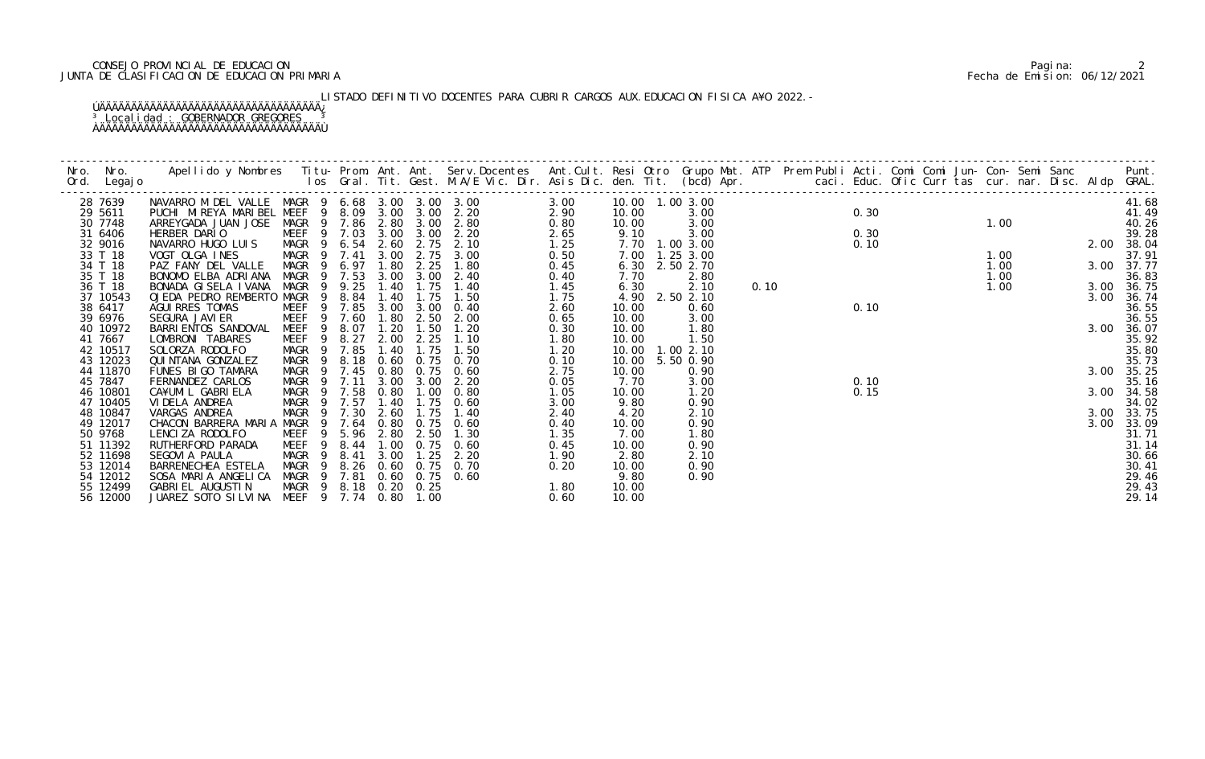## CONSEJO PROVINCIAL DE EDUCACION Pagina: 2 JUNTA DE CLASIFICACION DE EDUCACION PRIMARIA Fecha de Emision: 06/12/2021

LISTADO DEFINITIVO DOCENTES PARA CUBRIR CARGOS AUX.EDUCACION FISICA A¥O 2022.-

# ÚÄÄÄÄÄÄÄÄÄÄÄÄÄÄÄÄÄÄÄÄÄÄÄÄÄÄÄÄÄÄÄÄÄÄÄ¿ <sup>3</sup> Localidad : GOBERNADOR GREGORES <sup>3</sup> ÀÄÄÄÄÄÄÄÄÄÄÄÄÄÄÄÄÄÄÄÄÄÄÄÄÄÄÄÄÄÄÄÄÄÄÄÙ

|                      |                                                 |                                                |                |        |      |                  |                                    |              |               |                                      |      |                                     |      |               |      |                  |      | Punt.               |
|----------------------|-------------------------------------------------|------------------------------------------------|----------------|--------|------|------------------|------------------------------------|--------------|---------------|--------------------------------------|------|-------------------------------------|------|---------------|------|------------------|------|---------------------|
| 28 7639              | NAVARRO M DEL VALLE MAGR 9 6.68 3.00 3.00 3.00  |                                                |                |        |      |                  |                                    | 3.00         |               | 10.00  1.00  3.00                    |      |                                     |      |               |      |                  |      | 41.68               |
| 29 5611              | PUCHI MIREYA MARIBEL MEEF 9 8.09 3.00 3.00 2.20 |                                                |                |        |      |                  |                                    | 2.90         | 10.00         |                                      |      |                                     | 0.30 |               |      |                  |      | 41.49               |
| 30 7748              | ARREYGADA JUAN JOSE MAGR 9 7.86 2.80 3.00 2.80  |                                                |                |        |      |                  |                                    | 0.80         | 10.00         |                                      |      |                                     |      |               |      |                  |      | 40.26               |
| 31 6406              | HERBER DARIO                                    |                                                |                |        |      |                  | MEEF 9 7.03 3.00 3.00 2.20         | 2.65         | 9.10          |                                      |      | $\frac{3.00}{3.00}$<br>3.00<br>3.00 | 0.30 | $1.00$<br>2.0 |      |                  |      | 39.28               |
| 32 9016              | NAVARRO HUGO LUIS MAGR 9 6.54 2.60              |                                                |                |        |      | 2.75             | 2.10                               | 1.25         |               | 7.70 1.00 3.00                       |      |                                     | 0.10 |               |      |                  |      | 2.00 38.04          |
| 33 T 18              | VOGT OLGA INES                                  | MAGR 9 7.41                                    |                |        | 3.00 |                  | 2.75 3.00                          | 0.50         |               | 7.00 1.25 3.00                       |      |                                     |      |               | 1.00 |                  |      | 37.91               |
| 34 T 18              | PAZ FANY DEL VALLE                              | MAGR 9 6.97                                    |                |        | 1.80 | 2.25             | 1.80                               | 0.45         |               | 6.30 2.50 2.70                       |      |                                     |      |               | 1.00 | $1.00$<br>$1.00$ |      | 3.00 37.77          |
| 35 T 18              | BONOMO ELBA ADRIANA                             | MAGR 9 7.53 3.00 3.00<br>MAGR 9 9.25 1.40 1.75 |                |        |      |                  | 2.40                               | 0.40         | 7.70          | 2.80                                 |      |                                     |      |               |      |                  |      | 36.83               |
| 36 T 18              | BONADA GISELA IVANA                             |                                                |                |        |      |                  | 1.40                               | 1.45         | 6.30          | 2.10                                 | 0.10 |                                     |      |               | 1.00 |                  |      | 3.00 36.75          |
| 37 10543             | OJEDA PEDRO REMBERTO MAGR                       |                                                |                | 9 8.84 | 1.40 | 1.75             | 1.50                               | 1.75         |               | 4.90 2.50 2.10                       |      |                                     |      |               |      |                  | 3.00 | 36.74               |
| 38 6417              | AGUI RRES TOMAS                                 | MEEF 9 7.85 3.00 3.00                          |                |        |      |                  | 0.40                               | 2.60         | 10.00         | 0.60                                 |      |                                     | 0.10 |               |      |                  |      | 36.55               |
| 39 6976              | SEGURA JAVI ER                                  | MEEF 9 7.60                                    |                |        |      | 1.80 2.50        | 2.00                               | 0.65         | 10.00         | 3.00                                 |      |                                     |      |               |      |                  |      | 36.55               |
| 40 10972             | BARRI ENTOS SANDOVAL                            | MEEF 9 8.07                                    |                |        | 1.20 | 1.50             | 1.20                               | 0.30         | 10.00         | 1.80                                 |      |                                     |      |               |      |                  |      | 3.00 36.07          |
| 41 7667              | LOMBRONI TABARES                                | MEEF 9 8.27                                    |                |        | 2.00 | 2.25             | 1.10                               | 1.80         | 10.00         | 1.50                                 |      |                                     |      |               |      |                  |      | 35.92               |
| 42 10517             | SOLORZA RODOLFO                                 | MAGR 9 7.85                                    |                |        | 1.40 | 1.75             | 1.50                               | 1.20         |               | 10.00  1.00  2.10<br>10.00 5.50 0.90 |      |                                     |      |               |      |                  |      | 35.80               |
| 43 12023<br>44 11870 | QUI NTANA GONZALEZ                              | MAGR                                           | $\overline{9}$ |        | 0.80 |                  | 8.18 0.60 0.75 0.70<br>$0.75$ 0.60 | 0.10<br>2.75 |               | 0.90                                 |      |                                     |      |               |      |                  |      | 35.73<br>3.00 35.25 |
| 45 7847              | FUNES BIGO TAMARA<br>FERNANDEZ CARLOS           | MAGR 9 7.45<br>MAGR 9 7.11                     |                |        |      | 3.00 3.00        | 2.20                               | 0.05         | 10.00<br>7.70 | 3.00                                 |      |                                     | 0.10 |               |      |                  |      | 35.16               |
| 46 10801             | CA¥UMIL GABRIELA                                |                                                |                |        |      |                  | 0.80                               | 1.05         | 10.00         | 1.20                                 |      |                                     | 0.15 |               |      |                  |      | 3.00 34.58          |
| 47 10405             | VI DELA ANDREA                                  | MAGR 9 7.58 0.80 1.00<br>MAGR 9 7.57 1.40 1.75 |                |        |      |                  | $1.75 \t 0.60$                     | 3.00         | 9.80          | 0.90                                 |      |                                     |      |               |      |                  |      | 34.02               |
| 48 10847             | VARGAS ANDREA                                   | MAGR 9 7.30 2.60                               |                |        |      | 1.75             | 1.40                               | 2.40         | 4.20          | 2.10                                 |      |                                     |      |               |      |                  |      | 3.00 33.75          |
| 49 12017             | CHACON BARRERA MARIA MAGR 9 7.64 0.80 0.75 0.60 |                                                |                |        |      |                  |                                    | 0.40         | 10.00         | 0.90                                 |      |                                     |      |               |      |                  |      | 3.00 33.09          |
| 50 9768              | LENCIZA RODOLFO                                 | MEEF                                           |                |        |      | 9 5.96 2.80 2.50 | 1.30                               | 1.35         | 7.00          | 1.80                                 |      |                                     |      |               |      |                  |      | 31.71               |
| 51 11392             | RUTHERFORD PARADA                               | MEEF                                           | - 9            | 8.44   | 1.00 | 0.75             | 0.60                               | 0.45         | 10.00         | 0.90                                 |      |                                     |      |               |      |                  |      | 31.14               |
| 52 11698             | SEGOVIA PAULA                                   | MAGR 9 8.41                                    |                |        | 3.00 |                  | $1.25$ $2.20$                      | 1.90         | 2.80          | 2.10                                 |      |                                     |      |               |      |                  |      | 30.66               |
| 53 12014             | BARRENECHEA ESTELA                              |                                                |                |        |      |                  | MAGR 9 8.26 0.60 0.75 0.70         | 0.20         | 10.00         | 0.90                                 |      |                                     |      |               |      |                  |      | 30.41               |
| 54 12012             | SOSA MARIA ANGELICA                             |                                                |                |        |      |                  | MAGR 9 7.81 0.60 0.75 0.60         |              | 9.80          | 0.90                                 |      |                                     |      |               |      |                  |      | 29.46               |
| 55 12499             | GABRI EL AUGUSTI N                              | MAGR 9 8.18 0.20 0.25                          |                |        |      |                  |                                    | 1.80         | 10.00         |                                      |      |                                     |      |               |      |                  |      | 29.43               |
| 56 12000             | JUAREZ SOTO SILVINA MEEF 9 7.74 0.80 1.00       |                                                |                |        |      |                  |                                    | 0.60         | 10.00         |                                      |      |                                     |      |               |      |                  |      | 29.14               |